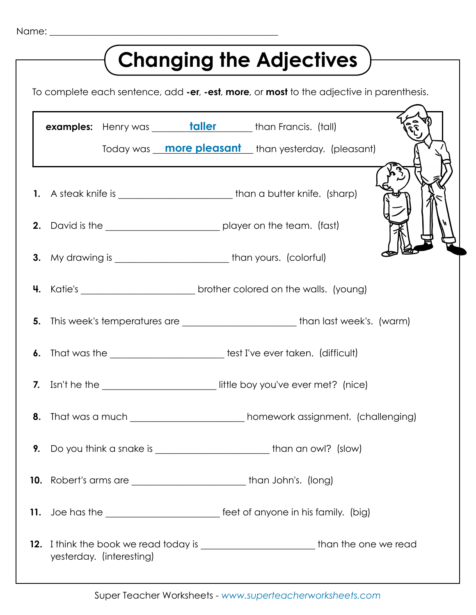| <b>Changing the Adjectives</b>                                                           |                                                                                  |                                                                                   |
|------------------------------------------------------------------------------------------|----------------------------------------------------------------------------------|-----------------------------------------------------------------------------------|
| To complete each sentence, add -er, -est, more, or most to the adjective in parenthesis. |                                                                                  |                                                                                   |
|                                                                                          | examples: Henry was _______ taller ______ than Francis. (tall)                   | Today was <b>more pleasant</b> than yesterday. (pleasant)                         |
|                                                                                          | 1. A steak knife is ______________________________than a butter knife. (sharp)   |                                                                                   |
|                                                                                          |                                                                                  |                                                                                   |
|                                                                                          | 3. My drawing is ______________________________than yours. (colorful)            |                                                                                   |
|                                                                                          |                                                                                  | 4. Katie's _________________________________brother colored on the walls. (young) |
| 5.                                                                                       |                                                                                  | This week's temperatures are ___________________________than last week's. (warm)  |
| 6.                                                                                       | That was the _______________________________ test I've ever taken. (difficult)   |                                                                                   |
|                                                                                          | 7. Isn't he the                                                                  | __________________________ little boy you've ever met? (nice)                     |
| 8.                                                                                       |                                                                                  | That was a much _____________________________ homework assignment. (challenging)  |
| 9.                                                                                       |                                                                                  |                                                                                   |
|                                                                                          |                                                                                  |                                                                                   |
|                                                                                          |                                                                                  |                                                                                   |
|                                                                                          | 11. Joe has the ____________________________ feet of anyone in his family. (big) |                                                                                   |